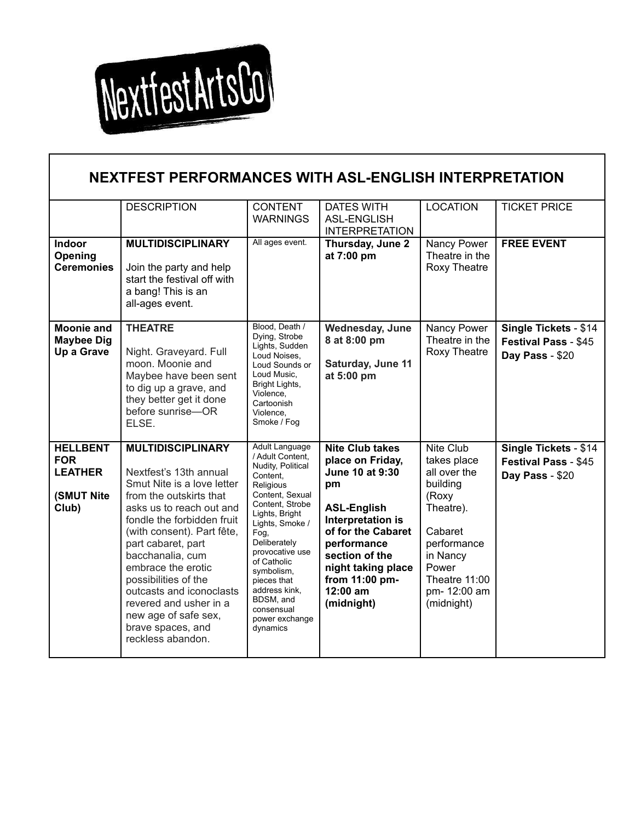

Г

| NEXTFEST PERFORMANCES WITH ASL-ENGLISH INTERPRETATION                  |                                                                                                                                                                                                                                                                                                                                                                                                                     |                                                                                                                                                                                                                                                                                                                                            |                                                                                                                                                                                                                                         |                                                                                                                                                                                 |                                                                  |  |  |  |  |
|------------------------------------------------------------------------|---------------------------------------------------------------------------------------------------------------------------------------------------------------------------------------------------------------------------------------------------------------------------------------------------------------------------------------------------------------------------------------------------------------------|--------------------------------------------------------------------------------------------------------------------------------------------------------------------------------------------------------------------------------------------------------------------------------------------------------------------------------------------|-----------------------------------------------------------------------------------------------------------------------------------------------------------------------------------------------------------------------------------------|---------------------------------------------------------------------------------------------------------------------------------------------------------------------------------|------------------------------------------------------------------|--|--|--|--|
|                                                                        | <b>DESCRIPTION</b>                                                                                                                                                                                                                                                                                                                                                                                                  | <b>CONTENT</b><br><b>WARNINGS</b>                                                                                                                                                                                                                                                                                                          | <b>DATES WITH</b><br><b>ASL-ENGLISH</b><br><b>INTERPRETATION</b>                                                                                                                                                                        | <b>LOCATION</b>                                                                                                                                                                 | <b>TICKET PRICE</b>                                              |  |  |  |  |
| Indoor<br>Opening<br><b>Ceremonies</b>                                 | <b>MULTIDISCIPLINARY</b><br>Join the party and help<br>start the festival off with<br>a bang! This is an<br>all-ages event.                                                                                                                                                                                                                                                                                         | All ages event.                                                                                                                                                                                                                                                                                                                            | Thursday, June 2<br>at 7:00 pm                                                                                                                                                                                                          | Nancy Power<br>Theatre in the<br>Roxy Theatre                                                                                                                                   | <b>FREE EVENT</b>                                                |  |  |  |  |
| <b>Moonie and</b><br><b>Maybee Dig</b><br>Up a Grave                   | <b>THEATRE</b><br>Night. Graveyard. Full<br>moon. Moonie and<br>Maybee have been sent<br>to dig up a grave, and<br>they better get it done<br>before sunrise-OR<br>ELSE.                                                                                                                                                                                                                                            | Blood, Death /<br>Dying, Strobe<br>Lights, Sudden<br>Loud Noises,<br>Loud Sounds or<br>Loud Music,<br>Bright Lights,<br>Violence,<br>Cartoonish<br>Violence,<br>Smoke / Fog                                                                                                                                                                | Wednesday, June<br>8 at 8:00 pm<br>Saturday, June 11<br>at 5:00 pm                                                                                                                                                                      | Nancy Power<br>Theatre in the<br>Roxy Theatre                                                                                                                                   | Single Tickets - \$14<br>Festival Pass - \$45<br>Day Pass - \$20 |  |  |  |  |
| <b>HELLBENT</b><br><b>FOR</b><br><b>LEATHER</b><br>(SMUT Nite<br>Club) | <b>MULTIDISCIPLINARY</b><br>Nextfest's 13th annual<br>Smut Nite is a love letter<br>from the outskirts that<br>asks us to reach out and<br>fondle the forbidden fruit<br>(with consent). Part fête,<br>part cabaret, part<br>bacchanalia, cum<br>embrace the erotic<br>possibilities of the<br>outcasts and iconoclasts<br>revered and usher in a<br>new age of safe sex,<br>brave spaces, and<br>reckless abandon. | <b>Adult Language</b><br>/ Adult Content.<br>Nudity, Political<br>Content,<br><b>Religious</b><br>Content, Sexual<br>Content, Strobe<br>Lights, Bright<br>Lights, Smoke /<br>Fog.<br>Deliberately<br>provocative use<br>of Catholic<br>symbolism,<br>pieces that<br>address kink,<br>BDSM, and<br>consensual<br>power exchange<br>dynamics | <b>Nite Club takes</b><br>place on Friday,<br>June 10 at 9:30<br>pm<br><b>ASL-English</b><br>Interpretation is<br>of for the Cabaret<br>performance<br>section of the<br>night taking place<br>from 11:00 pm-<br>12:00 am<br>(midnight) | <b>Nite Club</b><br>takes place<br>all over the<br>building<br>(Roxy<br>Theatre).<br>Cabaret<br>performance<br>in Nancy<br>Power<br>Theatre 11:00<br>pm- 12:00 am<br>(midnight) | Single Tickets - \$14<br>Festival Pass - \$45<br>Day Pass - \$20 |  |  |  |  |

1